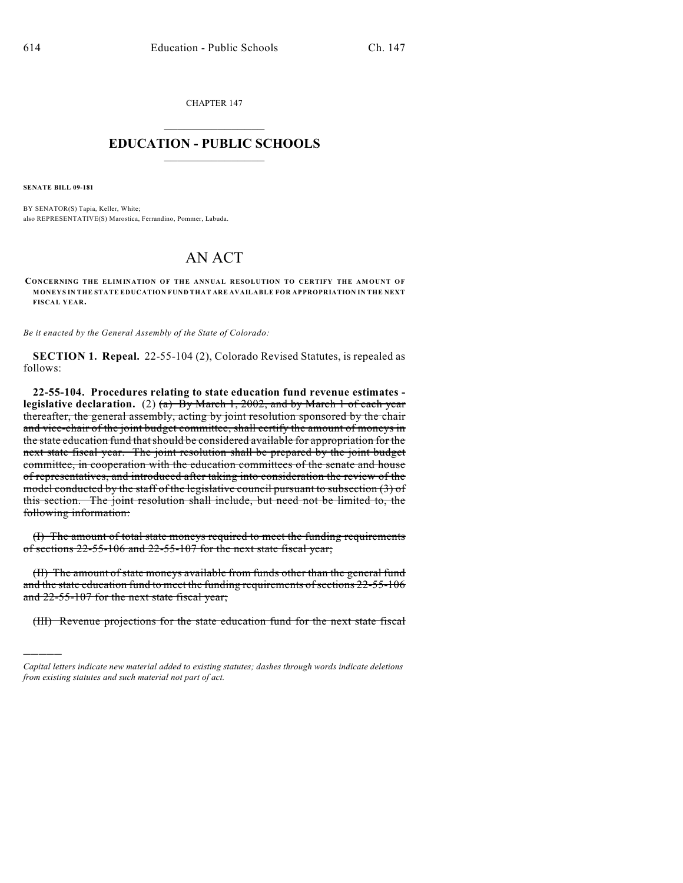CHAPTER 147  $\mathcal{L}_\text{max}$  . The set of the set of the set of the set of the set of the set of the set of the set of the set of the set of the set of the set of the set of the set of the set of the set of the set of the set of the set

## **EDUCATION - PUBLIC SCHOOLS**  $\_$   $\_$   $\_$   $\_$   $\_$   $\_$   $\_$   $\_$   $\_$

**SENATE BILL 09-181**

)))))

BY SENATOR(S) Tapia, Keller, White; also REPRESENTATIVE(S) Marostica, Ferrandino, Pommer, Labuda.

## AN ACT

**CONCERNING THE ELIMINATION OF THE ANNUAL RESOLUTION TO CERTIFY THE AMOUNT OF MONEYS IN THE STATE EDUCATION FUND THAT ARE AVAILABLE FOR APPROPRIATION IN THE NEXT FISCAL YEAR.**

*Be it enacted by the General Assembly of the State of Colorado:*

**SECTION 1. Repeal.** 22-55-104 (2), Colorado Revised Statutes, is repealed as follows:

**22-55-104. Procedures relating to state education fund revenue estimates legislative declaration.** (2) (a) By March 1, 2002, and by March 1 of each year thereafter, the general assembly, acting by joint resolution sponsored by the chair and vice-chair of the joint budget committee, shall certify the amount of moneys in the state education fund thatshould be considered available for appropriation for the next state fiscal year. The joint resolution shall be prepared by the joint budget committee, in cooperation with the education committees of the senate and house of representatives, and introduced after taking into consideration the review of the model conducted by the staff of the legislative council pursuant to subsection (3) of this section. The joint resolution shall include, but need not be limited to, the following information:

(I) The amount of total state moneys required to meet the funding requirements of sections 22-55-106 and 22-55-107 for the next state fiscal year;

(II) The amount of state moneys available from funds other than the general fund and the state education fund to meet the funding requirements of sections 22-55-106 and 22-55-107 for the next state fiscal year;

(III) Revenue projections for the state education fund for the next state fiscal

*Capital letters indicate new material added to existing statutes; dashes through words indicate deletions from existing statutes and such material not part of act.*